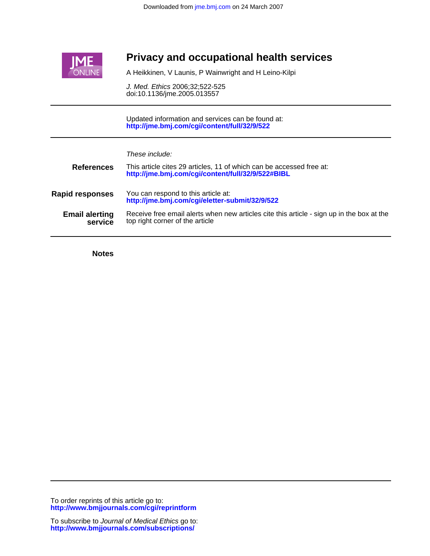

# **Privacy and occupational health services**

A Heikkinen, V Launis, P Wainwright and H Leino-Kilpi

doi:10.1136/jme.2005.013557 J. Med. Ethics 2006;32;522-525

**<http://jme.bmj.com/cgi/content/full/32/9/522>** Updated information and services can be found at:

| These include: |  |
|----------------|--|
|                |  |

| <b>References</b>                | This article cites 29 articles, 11 of which can be accessed free at:<br>http://jme.bmj.com/cgi/content/full/32/9/522#BIBL    |
|----------------------------------|------------------------------------------------------------------------------------------------------------------------------|
| <b>Rapid responses</b>           | You can respond to this article at:<br>http://jme.bmj.com/cgi/eletter-submit/32/9/522                                        |
| <b>Email alerting</b><br>service | Receive free email alerts when new articles cite this article - sign up in the box at the<br>top right corner of the article |

**Notes**

**<http://www.bmjjournals.com/cgi/reprintform>** To order reprints of this article go to: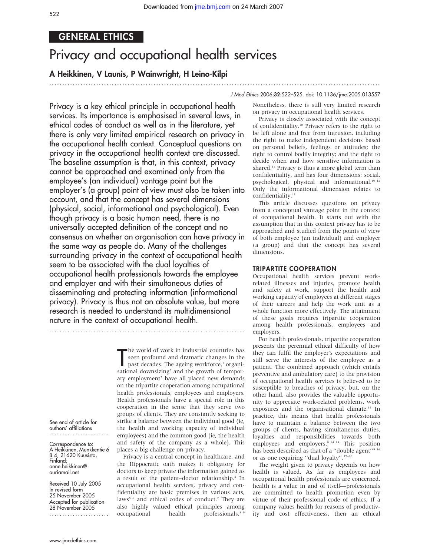............................................................... ............................................................... .

# GENERAL ETHICS

# Privacy and occupational health services

# A Heikkinen, V Launis, P Wainwright, H Leino-Kilpi

## J Med Ethics 2006;32:522–525. doi: 10.1136/jme.2005.013557

Privacy is a key ethical principle in occupational health services. Its importance is emphasised in several laws, in ethical codes of conduct as well as in the literature, yet there is only very limited empirical research on privacy in the occupational health context. Conceptual questions on privacy in the occupational health context are discussed. The baseline assumption is that, in this context, privacy cannot be approached and examined only from the employee's (an individual) vantage point but the employer's (a group) point of view must also be taken into account, and that the concept has several dimensions (physical, social, informational and psychological). Even though privacy is a basic human need, there is no universally accepted definition of the concept and no consensus on whether an organisation can have privacy in the same way as people do. Many of the challenges surrounding privacy in the context of occupational health seem to be associated with the dual loyalties of occupational health professionals towards the employee and employer and with their simultaneous duties of disseminating and protecting information (informational privacy). Privacy is thus not an absolute value, but more research is needed to understand its multidimensional nature in the context of occupational health.

> The world of work in industrial countries has<br>seen profound and dramatic changes in the<br>past decades. The ageing workforce,<sup>1</sup> organi-<br>sational downsizing<sup>2</sup> and the growth of temporhe world of work in industrial countries has seen profound and dramatic changes in the past decades. The ageing workforce,<sup>1</sup> organiary employment<sup>3</sup> have all placed new demands on the tripartite cooperation among occupational health professionals, employees and employers. Health professionals have a special role in this cooperation in the sense that they serve two groups of clients. They are constantly seeking to strike a balance between the individual good (ie, the health and working capacity of individual employees) and the common good (ie, the health and safety of the company as a whole). This places a big challenge on privacy.

> Privacy is a central concept in healthcare, and the Hippocratic oath makes it obligatory for doctors to keep private the information gained as a result of the patient–doctor relationship.4 In occupational health services, privacy and confidentiality are basic premises in various acts, laws<sup>5 6</sup> and ethical codes of conduct.<sup>7</sup> They are also highly valued ethical principles among occupational health professionals.<sup>8,9</sup>

Nonetheless, there is still very limited research on privacy in occupational health services.

Privacy is closely associated with the concept of confidentiality.10 Privacy refers to the right to be left alone and free from intrusion, including the right to make independent decisions based on personal beliefs, feelings or attitudes; the right to control bodily integrity; and the right to decide when and how sensitive information is shared.<sup>11</sup> Privacy is thus a more global term than confidentiality, and has four dimensions: social, psychological, physical and informational.<sup>10 12</sup> Only the informational dimension relates to confidentiality.<sup>11</sup>

This article discusses questions on privacy from a conceptual vantage point in the context of occupational health. It starts out with the assumption that in this context privacy has to be approached and studied from the points of view of both employee (an individual) and employer (a group) and that the concept has several dimensions.

#### TRIPARTITE COOPERATION

Occupational health services prevent workrelated illnesses and injuries, promote health and safety at work, support the health and working capacity of employees at different stages of their careers and help the work unit as a whole function more effectively. The attainment of these goals requires tripartite cooperation among health professionals, employees and employers.

For health professionals, tripartite cooperation presents the perennial ethical difficulty of how they can fulfil the employer's expectations and still serve the interests of the employee as a patient. The combined approach (which entails preventive and ambulatory care) to the provision of occupational health services is believed to be susceptible to breaches of privacy, but, on the other hand, also provides the valuable opportunity to appreciate work-related problems, work exposures and the organisational climate.<sup>13</sup> In practice, this means that health professionals have to maintain a balance between the two groups of clients, having simultaneous duties, loyalties and responsibilities towards both employees and employers.<sup>9 14 15</sup> This position has been described as that of a "double agent"<sup>9 16</sup> or as one requiring ''dual loyalty''.17–20

The weight given to privacy depends on how health is valued. As far as employees and occupational health professionals are concerned, health is a value in and of itself—professionals are committed to health promotion even by virtue of their professional code of ethics. If a company values health for reasons of productivity and cost effectiveness, then an ethical

See end of article for authors' affiliations .......................

Correspondence to: A Heikkinen, Munkkentie 6 B 4, 21620 Kuusisto, Finland; anne.heikkinen@ auriamail.net

Received 10 July 2005 In revised form 25 November 2005 Accepted for publication 28 November 2005 .......................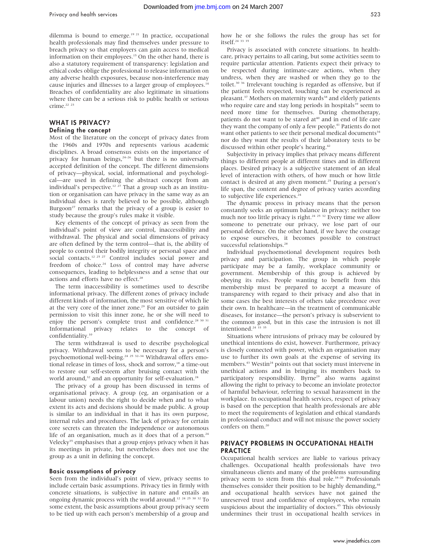dilemma is bound to emerge.<sup>19 21</sup> In practice, occupational health professionals may find themselves under pressure to breach privacy so that employers can gain access to medical information on their employees.<sup>15</sup> On the other hand, there is also a statutory requirement of transparency: legislation and ethical codes oblige the professional to release information on any adverse health exposures, because non-interference may cause injuries and illnesses to a larger group of employees.<sup>14</sup> Breaches of confidentiality are also legitimate in situations where there can be a serious risk to public health or serious crime.<sup>22</sup> <sup>23</sup>

### WHAT IS PRIVACY?

#### Defining the concept

Most of the literature on the concept of privacy dates from the 1960s and 1970s and represents various academic disciplines. A broad consensus exists on the importance of privacy for human beings,  $24-26$  but there is no universally accepted definition of the concept. The different dimensions of privacy—physical, social, informational and psychological—are used in defining the abstract concept from an individual's perspective.<sup>12 27</sup> That a group such as an institution or organisation can have privacy in the same way as an individual does is rarely believed to be possible, although Burgoon<sup>27</sup> remarks that the privacy of a group is easier to study because the group's rules make it visible.

Key elements of the concept of privacy as seen from the individual's point of view are control, inaccessibility and withdrawal. The physical and social dimensions of privacy are often defined by the term control—that is, the ability of people to control their bodily integrity or personal space and social contacts.<sup>12 25 27</sup> Control includes social power and freedom of choice.<sup>24</sup> Loss of control may have adverse consequences, leading to helplessness and a sense that our actions and efforts have no effect.<sup>28</sup>

The term inaccessibility is sometimes used to describe informational privacy. The different zones of privacy include different kinds of information, the most sensitive of which lie at the very core of the inner zone.<sup>29</sup> For an outsider to gain permission to visit this inner zone, he or she will need to enjoy the person's complete trust and confidence.<sup>28 30 31</sup> Informational privacy relates to the concept of confidentiality.10

The term withdrawal is used to describe psychological privacy. Withdrawal seems to be necessary for a person's psychoemotional well-being.<sup>24 25</sup> <sup>32-34</sup> Withdrawal offers emotional release in times of loss, shock and sorrow,<sup>18</sup> a time-out to restore our self-esteem after bruising contact with the world around,<sup>32</sup> and an opportunity for self-evaluation.<sup>24</sup>

The privacy of a group has been discussed in terms of organisational privacy. A group (eg, an organisation or a labour union) needs the right to decide when and to what extent its acts and decisions should be made public. A group is similar to an individual in that it has its own purpose, internal rules and procedures. The lack of privacy for certain core secrets can threaten the independence or autonomous life of an organisation, much as it does that of a person. $24$ Velecky<sup>35</sup> emphasises that a group enjoys privacy when it has its meetings in private, but nevertheless does not use the group as a unit in defining the concept.

#### Basic assumptions of privacy

Seen from the individual's point of view, privacy seems to include certain basic assumptions. Privacy ties in firmly with concrete situations, is subjective in nature and entails an ongoing dynamic process with the world around.<sup>12 24 25</sup> <sup>30</sup> <sup>32</sup> To some extent, the basic assumptions about group privacy seem to be tied up with each person's membership of a group and how he or she follows the rules the group has set for itself.24 33 35

Privacy is associated with concrete situations. In healthcare, privacy pertains to all caring, but some activities seem to require particular attention. Patients expect their privacy to be respected during intimate-care actions, when they undress, when they are washed or when they go to the toilet.<sup>30</sup> <sup>36</sup> Irrelevant touching is regarded as offensive, but if the patient feels respected, touching can be experienced as pleasant.<sup>37</sup> Mothers on maternity wards<sup>38</sup> and elderly patients who require care and stay long periods in hospitals<sup>39</sup> seem to need more time for themselves. During chemotherapy, patients do not want to be stared at<sup>40</sup> and in end of life care they want the company of only a few people.<sup>41</sup> Patients do not want other patients to see their personal medical documents<sup>34</sup> nor do they want the results of their laboratory tests to be discussed within other people's hearing.<sup>42</sup>

Subjectivity in privacy implies that privacy means different things to different people at different times and in different places. Desired privacy is a subjective statement of an ideal level of interaction with others, of how much or how little contact is desired at any given moment.<sup>25</sup> During a person's life span, the content and degree of privacy varies according to subjective life experiences.<sup>24</sup>

The dynamic process in privacy means that the person constantly seeks an optimum balance in privacy: neither too much nor too little privacy is right.<sup>24 25</sup> <sup>32</sup> Every time we allow someone to penetrate our privacy, we lose part of our personal defence. On the other hand, if we have the courage to expose ourselves, it becomes possible to construct successful relationships.<sup>28</sup>

Individual psychoemotional development requires both privacy and participation. The group in which people participate may be a family, workplace community or government. Membership of this group is achieved by obeying its rules. People wanting to benefit from this membership must be prepared to accept a measure of transparency with regard to their privacy and also that in some cases the best interests of others take precedence over their own. In healthcare—in the treatment of communicable diseases, for instance—the person's privacy is subservient to the common good, but in this case the intrusion is not ill intentioned.<sup>24</sup> 33 35

Situations where intrusions of privacy may be coloured by unethical intentions do exist, however. Furthermore, privacy is closely connected with power, which an organisation may use to further its own goals at the expense of serving its members.<sup>43</sup> Westin<sup>24</sup> points out that society must intervene in unethical actions and in bringing its members back to participatory responsibility. Byrne<sup>29</sup> also warns against allowing the right to privacy to become an inviolate protector of harmful behaviour, referring to sexual harassment in the workplace. In occupational health services, respect of privacy is based on the perception that health professionals are able to meet the requirements of legislation and ethical standards in professional conduct and will not misuse the power society confers on them.<sup>20</sup>

#### PRIVACY PROBLEMS IN OCCUPATIONAL HEALTH **PRACTICE**

Occupational health services are liable to various privacy challenges. Occupational health professionals have two simultaneous clients and many of the problems surrounding privacy seem to stem from this dual role.<sup>18-20</sup> Professionals themselves consider their position to be highly demanding,<sup>44</sup> and occupational health services have not gained the unreserved trust and confidence of employees, who remain suspicious about the impartiality of doctors.<sup>45</sup> This obviously undermines their trust in occupational health services in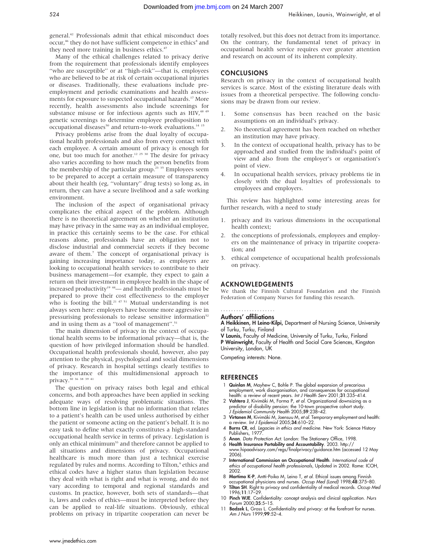general.42 Professionals admit that ethical misconduct does occur,<sup>46</sup> they do not have sufficient competence in ethics<sup>8</sup> and they need more training in business ethics.<sup>47</sup>

Many of the ethical challenges related to privacy derive from the requirement that professionals identify employees "who are susceptible" or at "high-risk"—that is, employees who are believed to be at risk of certain occupational injuries or diseases. Traditionally, these evaluations include preemployment and periodic examinations and health assessments for exposure to suspected occupational hazards.<sup>17</sup> More recently, health assessments also include screenings for substance misuse or for infectious agents such as HIV,<sup>48 49</sup> genetic screenings to determine employee predisposition to occupational diseases<sup>50</sup> and return-to-work evaluations.<sup>14 15</sup>

Privacy problems arise from the dual loyalty of occupational health professionals and also from every contact with each employee. A certain amount of privacy is enough for one, but too much for another.<sup>12 25 30</sup> The desire for privacy also varies according to how much the person benefits from the membership of the particular group.<sup>23</sup> <sup>35</sup> Employees seem to be prepared to accept a certain measure of transparency about their health (eg, ''voluntary'' drug tests) so long as, in return, they can have a secure livelihood and a safe working environment.

The inclusion of the aspect of organisational privacy complicates the ethical aspect of the problem. Although there is no theoretical agreement on whether an institution may have privacy in the same way as an individual employee, in practice this certainly seems to be the case. For ethical reasons alone, professionals have an obligation not to disclose industrial and commercial secrets if they become aware of them.7 The concept of organisational privacy is gaining increasing importance today, as employers are looking to occupational health services to contribute to their business management—for example, they expect to gain a return on their investment in employee health in the shape of increased productivity<sup>19</sup>  $44$ — and health professionals must be prepared to prove their cost effectiveness to the employer who is footing the bill.<sup>21 47 51</sup> Mutual understanding is not always seen here: employers have become more aggressive in pressurising professionals to release sensitive information<sup>52</sup> and in using them as a "tool of management".<sup>51</sup>

The main dimension of privacy in the context of occupational health seems to be informational privacy—that is, the question of how privileged information should be handled. Occupational health professionals should, however, also pay attention to the physical, psychological and social dimensions of privacy. Research in hospital settings clearly testifies to the importance of this multidimensional approach to privacy.30 36 38 39 41

The question on privacy raises both legal and ethical concerns, and both approaches have been applied in seeking adequate ways of resolving problematic situations. The bottom line in legislation is that no information that relates to a patient's health can be used unless authorised by either the patient or someone acting on the patient's behalf. It is no easy task to define what exactly constitutes a high-standard occupational health service in terms of privacy. Legislation is only an ethical minimum<sup>53</sup> and therefore cannot be applied to all situations and dimensions of privacy. Occupational healthcare is much more than just a technical exercise regulated by rules and norms. According to Tilton,<sup>9</sup> ethics and ethical codes have a higher status than legislation because they deal with what is right and what is wrong, and do not vary according to temporal and regional standards and customs. In practice, however, both sets of standards—that is, laws and codes of ethics—must be interpreted before they can be applied to real-life situations. Obviously, ethical problems on privacy in tripartite cooperation can never be

totally resolved, but this does not detract from its importance. On the contrary, the fundamental tenet of privacy in occupational health service requires ever greater attention and research on account of its inherent complexity.

#### CONCLUSIONS

Research on privacy in the context of occupational health services is scarce. Most of the existing literature deals with issues from a theoretical perspective. The following conclusions may be drawn from our review.

- 1. Some consensus has been reached on the basic assumptions on an individual's privacy.
- 2. No theoretical agreement has been reached on whether an institution may have privacy.
- 3. In the context of occupational health, privacy has to be approached and studied from the individual's point of view and also from the employer's or organisation's point of view.
- In occupational health services, privacy problems tie in closely with the dual loyalties of professionals to employees and employers.

This review has highlighted some interesting areas for further research, with a need to study

- privacy and its various dimensions in the occupational health context;
- 2. the conceptions of professionals, employees and employers on the maintenance of privacy in tripartite cooperation; and
- 3. ethical competence of occupational health professionals on privacy.

#### ACKNOWLEDGEMENTS

We thank the Finnish Cultural Foundation and the Finnish Federation of Company Nurses for funding this research.

## .....................

Authors' affiliations

A Heikkinen, H Leino-Kilpi, Department of Nursing Science, University of Turku, Turku, Finland

V Launis, Faculty of Medicine, University of Turku, Turku, Finland P Wainwright, Faculty of Health and Social Care Sciences, Kingston University, London, UK

Competing interests: None.

#### **REFERENCES**

- 1 Quinlan M, Mayhew C, Bohle P. The global expansion of precarious employment, work disorganisation, and consequences for occupational health: a review of recent years. Int J Health Serv 2001;31:335–414.
- 2 **Vahtera J**, Kivimäki M, Forma P, *et al.* Organizational downsizing as a<br>predictor of disability pension: the 10-town prospective cohort study. J Epidemiol Community Health 2005;59:238–42.
- 3 Virtanen M, Kivimäki M, Joensuu M, et al. Temporary employment and health: a review. Int J Epidemiol 2005;34:610–22.
- 4 Burns CR, ed. Legacies in ethics and medicine. New York: Science History Publishers, 1977.
- 5 Anon. Data Protection Act. London: The Stationery Office, 1998. 6 Health Insurance Portability and Accountability. 2003. http://
- www.hipaadvisory.com/regs/finalprivacy/guidance.htm (accessed 12 May 2006).
- 7 International Commission on Occupational Health. International code of ethics of occupational health professionals, Updated in 2002. Rome: ICOH, 2002.
- 8 Martimo K-P, Antti-Poika M, Leino T, et al. Ethical issues among Finnish occupational physicians and nurses. Occup Med (Lond) 1998;48:375–80.
- 9 Tilton SH. Right to privacy and confidentiality of medical records. Occup Med 1996;11:17–29.
- 10 Pinch WJE. Confidentiality: concept analysis and clinical application. Nurs Forum 2000;35:5–15.
- 11 Badzek L, Gross L. Confidentiality and privacy: at the forefront for nurses. Am J Nurs 1999;99:52-4.